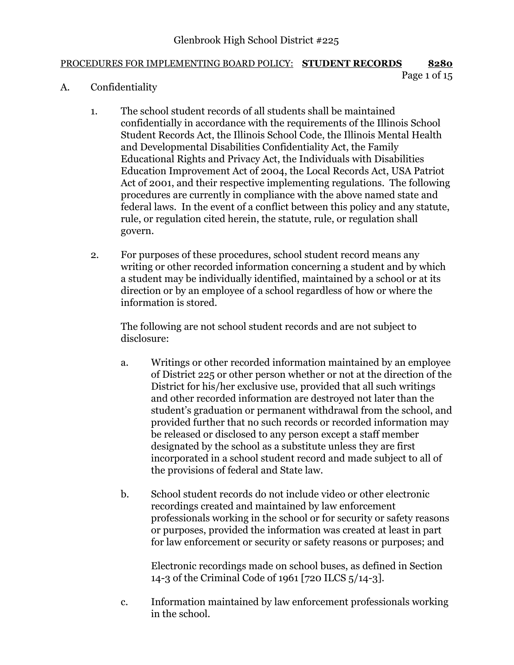## PROCEDURES FOR IMPLEMENTING BOARD POLICY: **STUDENT RECORDS 8280**

```
Page 1 of 15
```
- A. Confidentiality
	- 1. The school student records of all students shall be maintained confidentially in accordance with the requirements of the Illinois School Student Records Act, the Illinois School Code, the Illinois Mental Health and Developmental Disabilities Confidentiality Act, the Family Educational Rights and Privacy Act, the Individuals with Disabilities Education Improvement Act of 2004, the Local Records Act, USA Patriot Act of 2001, and their respective implementing regulations. The following procedures are currently in compliance with the above named state and federal laws. In the event of a conflict between this policy and any statute, rule, or regulation cited herein, the statute, rule, or regulation shall govern.
	- 2. For purposes of these procedures, school student record means any writing or other recorded information concerning a student and by which a student may be individually identified, maintained by a school or at its direction or by an employee of a school regardless of how or where the information is stored.

The following are not school student records and are not subject to disclosure:

- a. Writings or other recorded information maintained by an employee of District 225 or other person whether or not at the direction of the District for his/her exclusive use, provided that all such writings and other recorded information are destroyed not later than the student's graduation or permanent withdrawal from the school, and provided further that no such records or recorded information may be released or disclosed to any person except a staff member designated by the school as a substitute unless they are first incorporated in a school student record and made subject to all of the provisions of federal and State law.
- b. School student records do not include video or other electronic recordings created and maintained by law enforcement professionals working in the school or for security or safety reasons or purposes, provided the information was created at least in part for law enforcement or security or safety reasons or purposes; and

Electronic recordings made on school buses, as defined in Section 14-3 of the Criminal Code of 1961 [720 ILCS 5/14-3].

c. Information maintained by law enforcement professionals working in the school.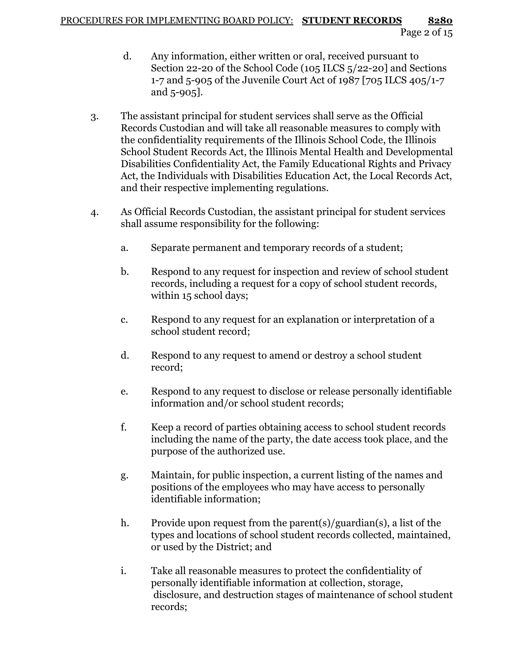- d. Any information, either written or oral, received pursuant to Section 22-20 of the School Code (105 ILCS 5/22-20] and Sections 1-7 and 5-905 of the Juvenile Court Act of 1987 [705 ILCS 405/1-7 and 5-905].
- 3. The assistant principal for student services shall serve as the Official Records Custodian and will take all reasonable measures to comply with the confidentiality requirements of the Illinois School Code, the Illinois School Student Records Act, the Illinois Mental Health and Developmental Disabilities Confidentiality Act, the Family Educational Rights and Privacy Act, the Individuals with Disabilities Education Act, the Local Records Act, and their respective implementing regulations.
- 4. As Official Records Custodian, the assistant principal for student services shall assume responsibility for the following:
	- a. Separate permanent and temporary records of a student;
	- b. Respond to any request for inspection and review of school student records, including a request for a copy of school student records, within 15 school days;
	- c. Respond to any request for an explanation or interpretation of a school student record;
	- d. Respond to any request to amend or destroy a school student record;
	- e. Respond to any request to disclose or release personally identifiable information and/or school student records;
	- f. Keep a record of parties obtaining access to school student records including the name of the party, the date access took place, and the purpose of the authorized use.
	- g. Maintain, for public inspection, a current listing of the names and positions of the employees who may have access to personally identifiable information;
	- h. Provide upon request from the parent(s)/guardian(s), a list of the types and locations of school student records collected, maintained, or used by the District; and
	- i. Take all reasonable measures to protect the confidentiality of personally identifiable information at collection, storage, disclosure, and destruction stages of maintenance of school student records;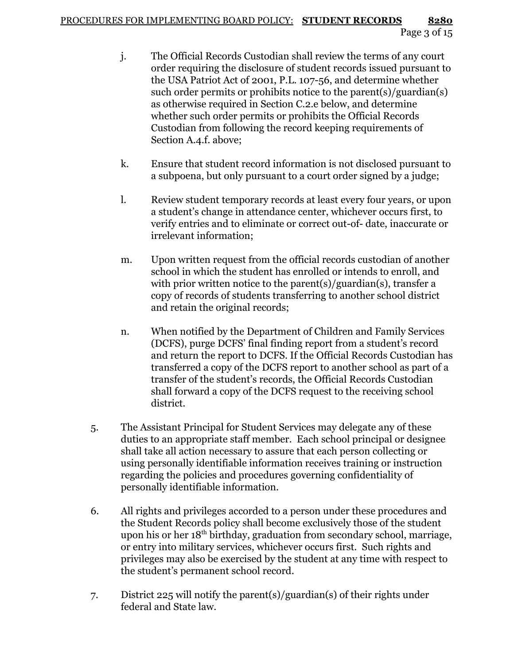- j. The Official Records Custodian shall review the terms of any court order requiring the disclosure of student records issued pursuant to the USA Patriot Act of 2001, P.L. 107-56, and determine whether such order permits or prohibits notice to the parent(s)/guardian(s) as otherwise required in Section C.2.e below, and determine whether such order permits or prohibits the Official Records Custodian from following the record keeping requirements of Section A.4.f. above;
- k. Ensure that student record information is not disclosed pursuant to a subpoena, but only pursuant to a court order signed by a judge;
- l. Review student temporary records at least every four years, or upon a student's change in attendance center, whichever occurs first, to verify entries and to eliminate or correct out-of- date, inaccurate or irrelevant information;
- m. Upon written request from the official records custodian of another school in which the student has enrolled or intends to enroll, and with prior written notice to the parent(s)/guardian(s), transfer a copy of records of students transferring to another school district and retain the original records;
- n. When notified by the Department of Children and Family Services (DCFS), purge DCFS' final finding report from a student's record and return the report to DCFS. If the Official Records Custodian has transferred a copy of the DCFS report to another school as part of a transfer of the student's records, the Official Records Custodian shall forward a copy of the DCFS request to the receiving school district.
- 5. The Assistant Principal for Student Services may delegate any of these duties to an appropriate staff member. Each school principal or designee shall take all action necessary to assure that each person collecting or using personally identifiable information receives training or instruction regarding the policies and procedures governing confidentiality of personally identifiable information.
- 6. All rights and privileges accorded to a person under these procedures and the Student Records policy shall become exclusively those of the student upon his or her 18<sup>th</sup> birthday, graduation from secondary school, marriage, or entry into military services, whichever occurs first. Such rights and privileges may also be exercised by the student at any time with respect to the student's permanent school record.
- 7. District 225 will notify the parent(s)/guardian(s) of their rights under federal and State law.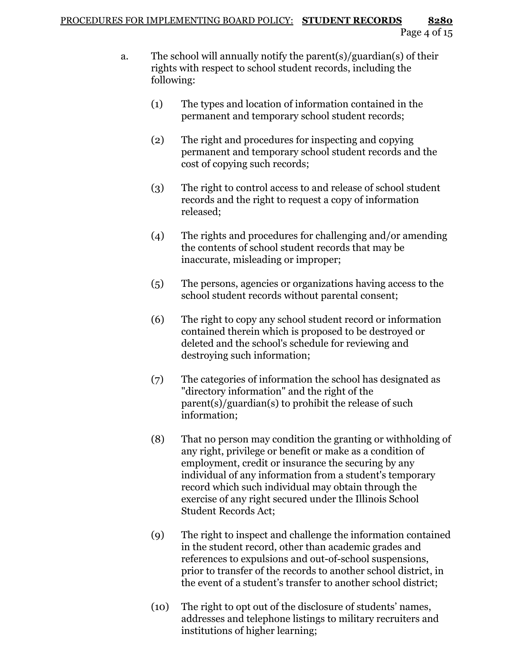- a. The school will annually notify the parent(s)/guardian(s) of their rights with respect to school student records, including the following:
	- (1) The types and location of information contained in the permanent and temporary school student records;
	- (2) The right and procedures for inspecting and copying permanent and temporary school student records and the cost of copying such records;
	- (3) The right to control access to and release of school student records and the right to request a copy of information released;
	- (4) The rights and procedures for challenging and/or amending the contents of school student records that may be inaccurate, misleading or improper;
	- (5) The persons, agencies or organizations having access to the school student records without parental consent;
	- (6) The right to copy any school student record or information contained therein which is proposed to be destroyed or deleted and the school's schedule for reviewing and destroying such information;
	- (7) The categories of information the school has designated as "directory information" and the right of the parent(s)/guardian(s) to prohibit the release of such information;
	- (8) That no person may condition the granting or withholding of any right, privilege or benefit or make as a condition of employment, credit or insurance the securing by any individual of any information from a student's temporary record which such individual may obtain through the exercise of any right secured under the Illinois School Student Records Act;
	- (9) The right to inspect and challenge the information contained in the student record, other than academic grades and references to expulsions and out-of-school suspensions, prior to transfer of the records to another school district, in the event of a student's transfer to another school district;
	- (10) The right to opt out of the disclosure of students' names, addresses and telephone listings to military recruiters and institutions of higher learning;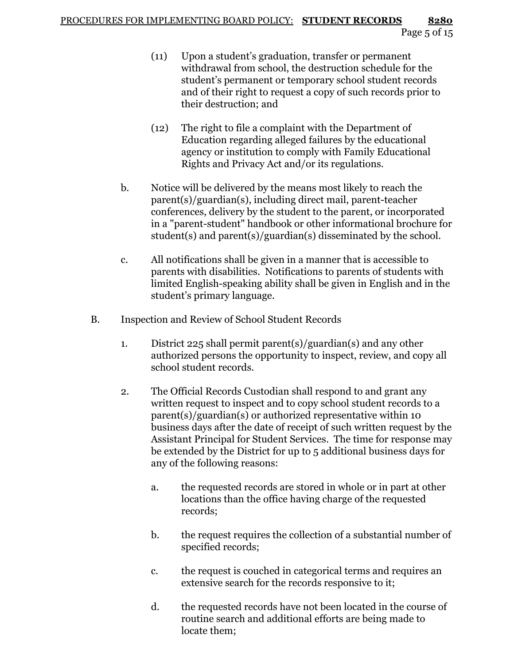- (11) Upon a student's graduation, transfer or permanent withdrawal from school, the destruction schedule for the student's permanent or temporary school student records and of their right to request a copy of such records prior to their destruction; and
- (12) The right to file a complaint with the Department of Education regarding alleged failures by the educational agency or institution to comply with Family Educational Rights and Privacy Act and/or its regulations.
- b. Notice will be delivered by the means most likely to reach the parent(s)/guardian(s), including direct mail, parent-teacher conferences, delivery by the student to the parent, or incorporated in a "parent-student" handbook or other informational brochure for student(s) and parent(s)/guardian(s) disseminated by the school.
- c. All notifications shall be given in a manner that is accessible to parents with disabilities. Notifications to parents of students with limited English-speaking ability shall be given in English and in the student's primary language.
- B. Inspection and Review of School Student Records
	- 1. District 225 shall permit parent(s)/guardian(s) and any other authorized persons the opportunity to inspect, review, and copy all school student records.
	- 2. The Official Records Custodian shall respond to and grant any written request to inspect and to copy school student records to a parent(s)/guardian(s) or authorized representative within 10 business days after the date of receipt of such written request by the Assistant Principal for Student Services. The time for response may be extended by the District for up to 5 additional business days for any of the following reasons:
		- a. the requested records are stored in whole or in part at other locations than the office having charge of the requested records;
		- b. the request requires the collection of a substantial number of specified records;
		- c. the request is couched in categorical terms and requires an extensive search for the records responsive to it;
		- d. the requested records have not been located in the course of routine search and additional efforts are being made to locate them;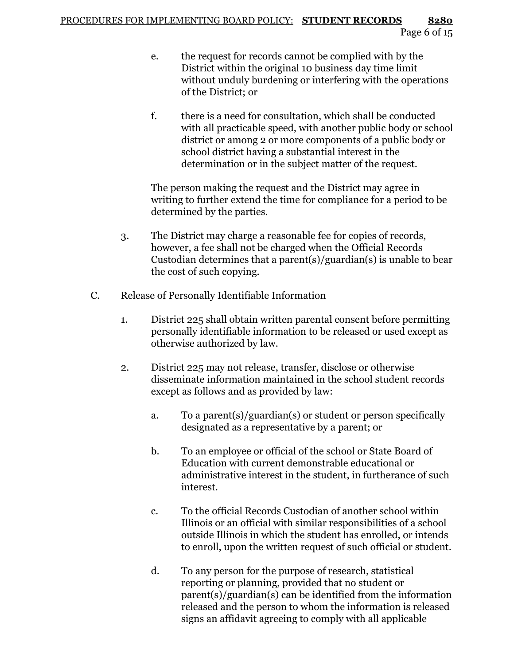- e. the request for records cannot be complied with by the District within the original 10 business day time limit without unduly burdening or interfering with the operations of the District; or
- f. there is a need for consultation, which shall be conducted with all practicable speed, with another public body or school district or among 2 or more components of a public body or school district having a substantial interest in the determination or in the subject matter of the request.

The person making the request and the District may agree in writing to further extend the time for compliance for a period to be determined by the parties.

- 3. The District may charge a reasonable fee for copies of records, however, a fee shall not be charged when the Official Records Custodian determines that a parent(s)/guardian(s) is unable to bear the cost of such copying.
- C. Release of Personally Identifiable Information
	- 1. District 225 shall obtain written parental consent before permitting personally identifiable information to be released or used except as otherwise authorized by law.
	- 2. District 225 may not release, transfer, disclose or otherwise disseminate information maintained in the school student records except as follows and as provided by law:
		- a. To a parent(s)/guardian(s) or student or person specifically designated as a representative by a parent; or
		- b. To an employee or official of the school or State Board of Education with current demonstrable educational or administrative interest in the student, in furtherance of such interest.
		- c. To the official Records Custodian of another school within Illinois or an official with similar responsibilities of a school outside Illinois in which the student has enrolled, or intends to enroll, upon the written request of such official or student.
		- d. To any person for the purpose of research, statistical reporting or planning, provided that no student or parent(s)/guardian(s) can be identified from the information released and the person to whom the information is released signs an affidavit agreeing to comply with all applicable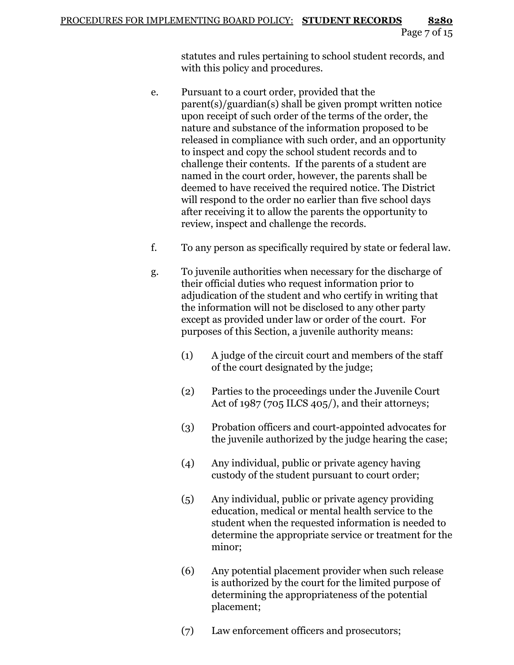statutes and rules pertaining to school student records, and with this policy and procedures.

- e. Pursuant to a court order, provided that the parent(s)/guardian(s) shall be given prompt written notice upon receipt of such order of the terms of the order, the nature and substance of the information proposed to be released in compliance with such order, and an opportunity to inspect and copy the school student records and to challenge their contents. If the parents of a student are named in the court order, however, the parents shall be deemed to have received the required notice. The District will respond to the order no earlier than five school days after receiving it to allow the parents the opportunity to review, inspect and challenge the records.
- f. To any person as specifically required by state or federal law.
- g. To juvenile authorities when necessary for the discharge of their official duties who request information prior to adjudication of the student and who certify in writing that the information will not be disclosed to any other party except as provided under law or order of the court. For purposes of this Section, a juvenile authority means:
	- (1) A judge of the circuit court and members of the staff of the court designated by the judge;
	- (2) Parties to the proceedings under the Juvenile Court Act of 1987 (705 ILCS 405/), and their attorneys;
	- (3) Probation officers and court-appointed advocates for the juvenile authorized by the judge hearing the case;
	- (4) Any individual, public or private agency having custody of the student pursuant to court order;
	- (5) Any individual, public or private agency providing education, medical or mental health service to the student when the requested information is needed to determine the appropriate service or treatment for the minor;
	- (6) Any potential placement provider when such release is authorized by the court for the limited purpose of determining the appropriateness of the potential placement;
	- (7) Law enforcement officers and prosecutors;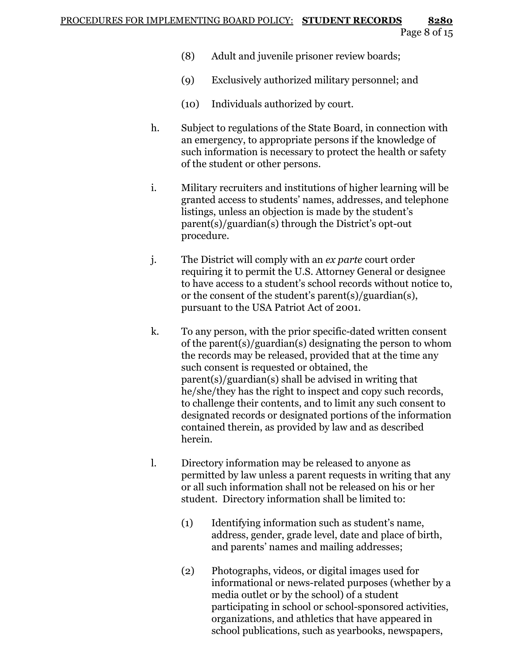- (8) Adult and juvenile prisoner review boards;
- (9) Exclusively authorized military personnel; and
- (10) Individuals authorized by court.
- h. Subject to regulations of the State Board, in connection with an emergency, to appropriate persons if the knowledge of such information is necessary to protect the health or safety of the student or other persons.
- i. Military recruiters and institutions of higher learning will be granted access to students' names, addresses, and telephone listings, unless an objection is made by the student's parent(s)/guardian(s) through the District's opt-out procedure.
- j. The District will comply with an *ex parte* court order requiring it to permit the U.S. Attorney General or designee to have access to a student's school records without notice to, or the consent of the student's parent(s)/guardian(s), pursuant to the USA Patriot Act of 2001.
- k. To any person, with the prior specific-dated written consent of the parent(s)/guardian(s) designating the person to whom the records may be released, provided that at the time any such consent is requested or obtained, the parent(s)/guardian(s) shall be advised in writing that he/she/they has the right to inspect and copy such records, to challenge their contents, and to limit any such consent to designated records or designated portions of the information contained therein, as provided by law and as described herein.
- l. Directory information may be released to anyone as permitted by law unless a parent requests in writing that any or all such information shall not be released on his or her student. Directory information shall be limited to:
	- (1) Identifying information such as student's name, address, gender, grade level, date and place of birth, and parents' names and mailing addresses;
	- (2) Photographs, videos, or digital images used for informational or news-related purposes (whether by a media outlet or by the school) of a student participating in school or school-sponsored activities, organizations, and athletics that have appeared in school publications, such as yearbooks, newspapers,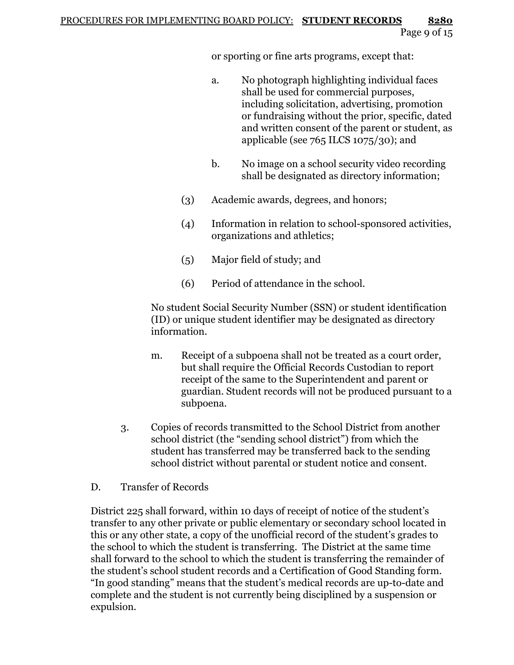or sporting or fine arts programs, except that:

- a. No photograph highlighting individual faces shall be used for commercial purposes, including solicitation, advertising, promotion or fundraising without the prior, specific, dated and written consent of the parent or student, as applicable (see  $765$  ILCS  $1075/30$ ); and
- b. No image on a school security video recording shall be designated as directory information;
- (3) Academic awards, degrees, and honors;
- (4) Information in relation to school-sponsored activities, organizations and athletics;
- (5) Major field of study; and
- (6) Period of attendance in the school.

No student Social Security Number (SSN) or student identification (ID) or unique student identifier may be designated as directory information.

- m. Receipt of a subpoena shall not be treated as a court order, but shall require the Official Records Custodian to report receipt of the same to the Superintendent and parent or guardian. Student records will not be produced pursuant to a subpoena.
- 3. Copies of records transmitted to the School District from another school district (the "sending school district") from which the student has transferred may be transferred back to the sending school district without parental or student notice and consent.
- D. Transfer of Records

District 225 shall forward, within 10 days of receipt of notice of the student's transfer to any other private or public elementary or secondary school located in this or any other state, a copy of the unofficial record of the student's grades to the school to which the student is transferring. The District at the same time shall forward to the school to which the student is transferring the remainder of the student's school student records and a Certification of Good Standing form. "In good standing" means that the student's medical records are up-to-date and complete and the student is not currently being disciplined by a suspension or expulsion.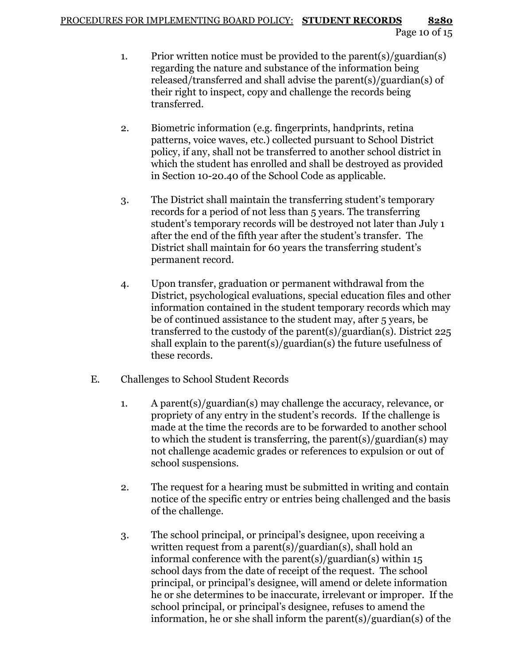- 1. Prior written notice must be provided to the parent(s)/guardian(s) regarding the nature and substance of the information being released/transferred and shall advise the parent(s)/guardian(s) of their right to inspect, copy and challenge the records being transferred.
- 2. Biometric information (e.g. fingerprints, handprints, retina patterns, voice waves, etc.) collected pursuant to School District policy, if any, shall not be transferred to another school district in which the student has enrolled and shall be destroyed as provided in Section 10-20.40 of the School Code as applicable.
- 3. The District shall maintain the transferring student's temporary records for a period of not less than 5 years. The transferring student's temporary records will be destroyed not later than July 1 after the end of the fifth year after the student's transfer. The District shall maintain for 60 years the transferring student's permanent record.
- 4. Upon transfer, graduation or permanent withdrawal from the District, psychological evaluations, special education files and other information contained in the student temporary records which may be of continued assistance to the student may, after 5 years, be transferred to the custody of the parent(s)/guardian(s). District 225 shall explain to the parent(s)/guardian(s) the future usefulness of these records.
- E. Challenges to School Student Records
	- 1. A parent(s)/guardian(s) may challenge the accuracy, relevance, or propriety of any entry in the student's records. If the challenge is made at the time the records are to be forwarded to another school to which the student is transferring, the parent(s)/guardian(s) may not challenge academic grades or references to expulsion or out of school suspensions.
	- 2. The request for a hearing must be submitted in writing and contain notice of the specific entry or entries being challenged and the basis of the challenge.
	- 3. The school principal, or principal's designee, upon receiving a written request from a parent(s)/guardian(s), shall hold an informal conference with the parent(s)/guardian(s) within 15 school days from the date of receipt of the request. The school principal, or principal's designee, will amend or delete information he or she determines to be inaccurate, irrelevant or improper. If the school principal, or principal's designee, refuses to amend the information, he or she shall inform the parent(s)/guardian(s) of the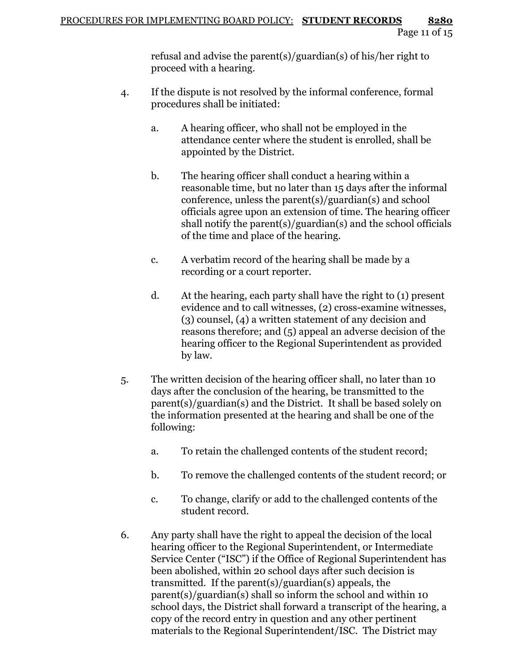refusal and advise the parent(s)/guardian(s) of his/her right to proceed with a hearing.

- 4. If the dispute is not resolved by the informal conference, formal procedures shall be initiated:
	- a. A hearing officer, who shall not be employed in the attendance center where the student is enrolled, shall be appointed by the District.
	- b. The hearing officer shall conduct a hearing within a reasonable time, but no later than 15 days after the informal conference, unless the parent(s)/guardian(s) and school officials agree upon an extension of time. The hearing officer shall notify the parent(s)/guardian(s) and the school officials of the time and place of the hearing.
	- c. A verbatim record of the hearing shall be made by a recording or a court reporter.
	- d. At the hearing, each party shall have the right to (1) present evidence and to call witnesses, (2) cross-examine witnesses, (3) counsel, (4) a written statement of any decision and reasons therefore; and (5) appeal an adverse decision of the hearing officer to the Regional Superintendent as provided by law.
- 5. The written decision of the hearing officer shall, no later than 10 days after the conclusion of the hearing, be transmitted to the parent(s)/guardian(s) and the District. It shall be based solely on the information presented at the hearing and shall be one of the following:
	- a. To retain the challenged contents of the student record;
	- b. To remove the challenged contents of the student record; or
	- c. To change, clarify or add to the challenged contents of the student record.
- 6. Any party shall have the right to appeal the decision of the local hearing officer to the Regional Superintendent, or Intermediate Service Center ("ISC") if the Office of Regional Superintendent has been abolished, within 20 school days after such decision is transmitted. If the parent(s)/guardian(s) appeals, the parent(s)/guardian(s) shall so inform the school and within 10 school days, the District shall forward a transcript of the hearing, a copy of the record entry in question and any other pertinent materials to the Regional Superintendent/ISC. The District may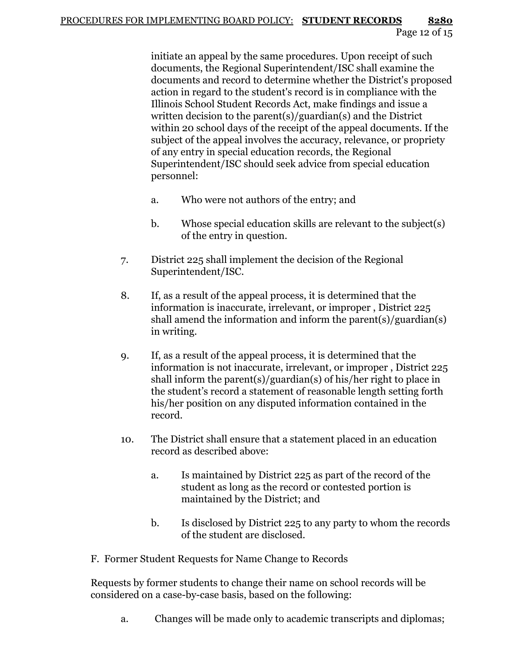initiate an appeal by the same procedures. Upon receipt of such documents, the Regional Superintendent/ISC shall examine the documents and record to determine whether the District's proposed action in regard to the student's record is in compliance with the Illinois School Student Records Act, make findings and issue a written decision to the parent(s)/guardian(s) and the District within 20 school days of the receipt of the appeal documents. If the subject of the appeal involves the accuracy, relevance, or propriety of any entry in special education records, the Regional Superintendent/ISC should seek advice from special education personnel:

- a. Who were not authors of the entry; and
- b. Whose special education skills are relevant to the subject(s) of the entry in question.
- 7. District 225 shall implement the decision of the Regional Superintendent/ISC.
- 8. If, as a result of the appeal process, it is determined that the information is inaccurate, irrelevant, or improper , District 225 shall amend the information and inform the parent(s)/guardian(s) in writing.
- 9. If, as a result of the appeal process, it is determined that the information is not inaccurate, irrelevant, or improper , District 225 shall inform the parent(s)/guardian(s) of his/her right to place in the student's record a statement of reasonable length setting forth his/her position on any disputed information contained in the record.
- 10. The District shall ensure that a statement placed in an education record as described above:
	- a. Is maintained by District 225 as part of the record of the student as long as the record or contested portion is maintained by the District; and
	- b. Is disclosed by District 225 to any party to whom the records of the student are disclosed.
- F. Former Student Requests for Name Change to Records

Requests by former students to change their name on school records will be considered on a case-by-case basis, based on the following:

a. Changes will be made only to academic transcripts and diplomas;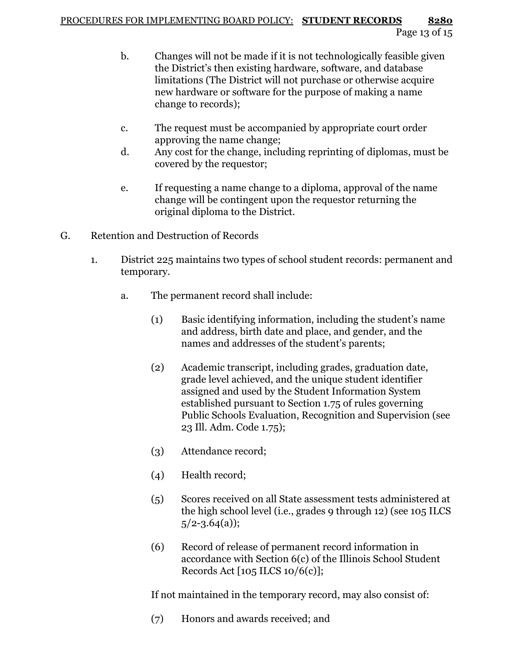## PROCEDURES FOR IMPLEMENTING BOARD POLICY: **STUDENT RECORDS 8280** Page 13 of 15

- b. Changes will not be made if it is not technologically feasible given the District's then existing hardware, software, and database limitations (The District will not purchase or otherwise acquire new hardware or software for the purpose of making a name change to records);
- c. The request must be accompanied by appropriate court order approving the name change;
- d. Any cost for the change, including reprinting of diplomas, must be covered by the requestor;
- e. If requesting a name change to a diploma, approval of the name change will be contingent upon the requestor returning the original diploma to the District.
- G. Retention and Destruction of Records
	- 1. District 225 maintains two types of school student records: permanent and temporary.
		- a. The permanent record shall include:
			- (1) Basic identifying information, including the student's name and address, birth date and place, and gender, and the names and addresses of the student's parents;
			- (2) Academic transcript, including grades, graduation date, grade level achieved, and the unique student identifier assigned and used by the Student Information System established pursuant to Section 1.75 of rules governing Public Schools Evaluation, Recognition and Supervision (see 23 Ill. Adm. Code 1.75);
			- (3) Attendance record;
			- (4) Health record;
			- (5) Scores received on all State assessment tests administered at the high school level (i.e., grades 9 through 12) (see 105 ILCS  $5/2 - 3.64(a)$ ;
			- (6) Record of release of permanent record information in accordance with Section 6(c) of the Illinois School Student Records Act  $[105$  ILCS  $10/6(c)]$ ;

If not maintained in the temporary record, may also consist of:

(7) Honors and awards received; and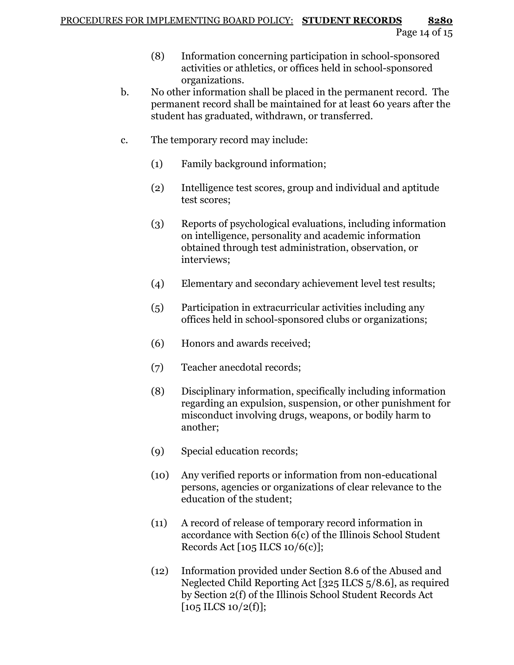- (8) Information concerning participation in school-sponsored activities or athletics, or offices held in school-sponsored organizations.
- b. No other information shall be placed in the permanent record. The permanent record shall be maintained for at least 60 years after the student has graduated, withdrawn, or transferred.
- c. The temporary record may include:
	- (1) Family background information;
	- (2) Intelligence test scores, group and individual and aptitude test scores;
	- (3) Reports of psychological evaluations, including information on intelligence, personality and academic information obtained through test administration, observation, or interviews;
	- (4) Elementary and secondary achievement level test results;
	- (5) Participation in extracurricular activities including any offices held in school-sponsored clubs or organizations;
	- (6) Honors and awards received;
	- (7) Teacher anecdotal records;
	- (8) Disciplinary information, specifically including information regarding an expulsion, suspension, or other punishment for misconduct involving drugs, weapons, or bodily harm to another;
	- (9) Special education records;
	- (10) Any verified reports or information from non-educational persons, agencies or organizations of clear relevance to the education of the student;
	- (11) A record of release of temporary record information in accordance with Section 6(c) of the Illinois School Student Records Act [105 ILCS 10/6(c)];
	- (12) Information provided under Section 8.6 of the Abused and Neglected Child Reporting Act [325 ILCS 5/8.6], as required by Section 2(f) of the Illinois School Student Records Act  $[105$  ILCS  $10/2(f)$ ];